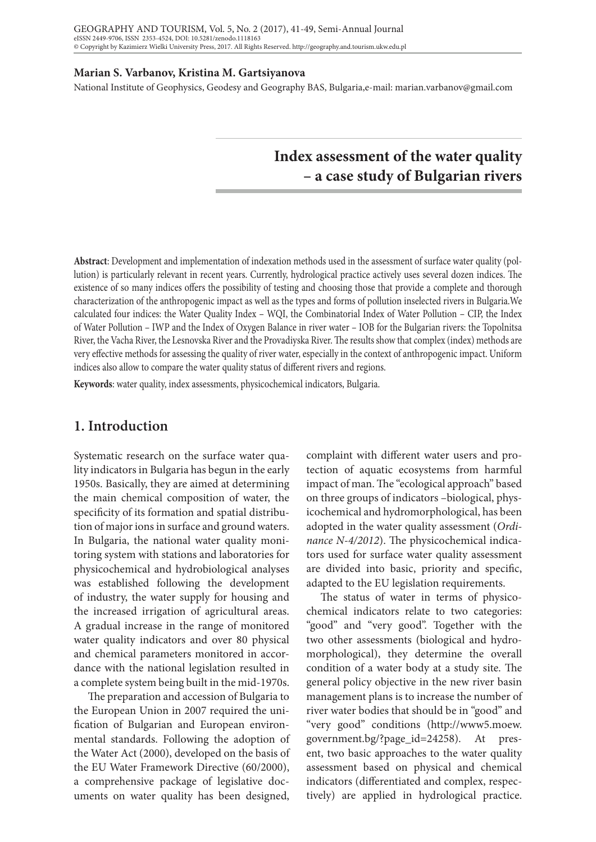#### **Marian S. Varbanov, Kristina M. Gartsiyanova**

National Institute of Geophysics, Geodesy and Geography BAS, Bulgaria,e-mail: marian.varbanov@gmail.com

# **Index assessment of the water quality – a case study of Bulgarian rivers**

**Abstract**: Development and implementation of indexation methods used in the assessment of surface water quality (pollution) is particularly relevant in recent years. Currently, hydrological practice actively uses several dozen indices. The existence of so many indices offers the possibility of testing and choosing those that provide a complete and thorough characterization of the anthropogenic impact as well as the types and forms of pollution inselected rivers in Bulgaria.We calculated four indices: the Water Quality Index – WQI, the Combinatorial Index of Water Pollution – CIP, the Index of Water Pollution – IWP and the Index of Oxygen Balance in river water – IOB for the Bulgarian rivers: the Topolnitsa River, the Vacha River, the Lesnovska River and the Provadiyska River. The results show that complex (index) methods are very effective methods for assessing the quality of river water, especially in the context of anthropogenic impact. Uniform indices also allow to compare the water quality status of different rivers and regions.

**Keywords**: water quality, index assessments, physicochemical indicators, Bulgaria.

### **1. Introduction**

Systematic research on the surface water quality indicators in Bulgaria has begun in the early 1950s. Basically, they are aimed at determining the main chemical composition of water, the specificity of its formation and spatial distribution of major ions in surface and ground waters. In Bulgaria, the national water quality monitoring system with stations and laboratories for physicochemical and hydrobiological analyses was established following the development of industry, the water supply for housing and the increased irrigation of agricultural areas. A gradual increase in the range of monitored water quality indicators and over 80 physical and chemical parameters monitored in accordance with the national legislation resulted in a complete system being built in the mid-1970s.

The preparation and accession of Bulgaria to the European Union in 2007 required the unification of Bulgarian and European environmental standards. Following the adoption of the Water Act (2000), developed on the basis of the EU Water Framework Directive (60/2000), a comprehensive package of legislative documents on water quality has been designed,

complaint with different water users and protection of aquatic ecosystems from harmful impact of man. The "ecological approach" based on three groups of indicators –biological, physicochemical and hydromorphological, has been adopted in the water quality assessment (*Ordinance N-4/2012*). The physicochemical indicators used for surface water quality assessment are divided into basic, priority and specific, adapted to the EU legislation requirements.

The status of water in terms of physicochemical indicators relate to two categories: "good" and "very good". Together with the two other assessments (biological and hydromorphological), they determine the overall condition of a water body at a study site. The general policy objective in the new river basin management plans is to increase the number of river water bodies that should be in "good" and "very good" conditions (http://www5.moew. government.bg/?page\_id=24258). At present, two basic approaches to the water quality assessment based on physical and chemical indicators (differentiated and complex, respectively) are applied in hydrological practice.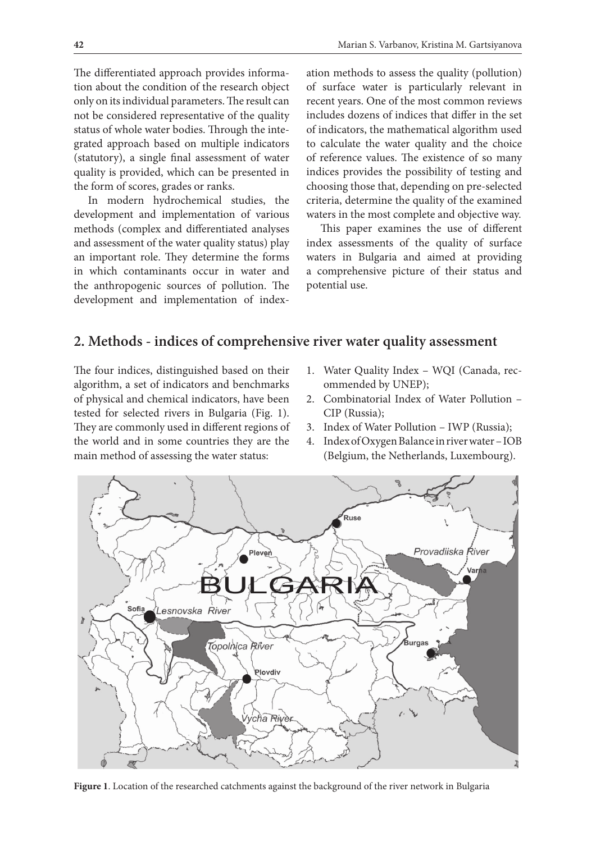The differentiated approach provides information about the condition of the research object only on its individual parameters. The result can not be considered representative of the quality status of whole water bodies. Through the integrated approach based on multiple indicators (statutory), a single final assessment of water quality is provided, which can be presented in the form of scores, grades or ranks.

In modern hydrochemical studies, the development and implementation of various methods (complex and differentiated analyses and assessment of the water quality status) play an important role. They determine the forms in which contaminants occur in water and the anthropogenic sources of pollution. The development and implementation of indexation methods to assess the quality (pollution) of surface water is particularly relevant in recent years. One of the most common reviews includes dozens of indices that differ in the set of indicators, the mathematical algorithm used to calculate the water quality and the choice of reference values. The existence of so many indices provides the possibility of testing and choosing those that, depending on pre-selected criteria, determine the quality of the examined waters in the most complete and objective way.

This paper examines the use of different index assessments of the quality of surface waters in Bulgaria and aimed at providing a comprehensive picture of their status and potential use.

### **2. Methods - indices of comprehensive river water quality assessment**

The four indices, distinguished based on their algorithm, a set of indicators and benchmarks of physical and chemical indicators, have been tested for selected rivers in Bulgaria (Fig. 1). They are commonly used in different regions of the world and in some countries they are the main method of assessing the water status:

- 1. Water Quality Index WQI (Canada, recommended by UNEP);
- 2. Combinatorial Index of Water Pollution CIP (Russia);
- 3. Index of Water Pollution IWP (Russia);
- 4. Index of Oxygen Balance in river water IOB (Belgium, the Netherlands, Luxembourg).



**Figure 1**. Location of the researched catchments against the background of the river network in Bulgaria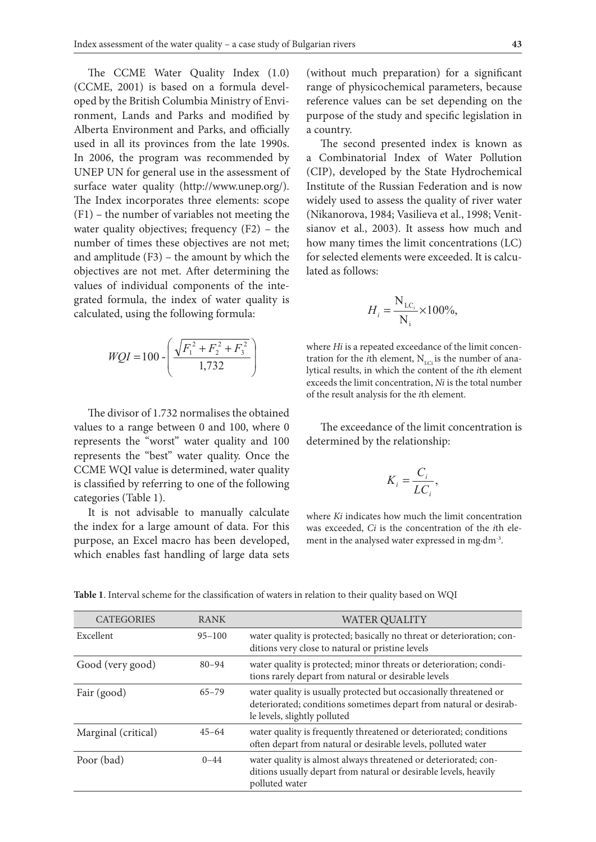The CCME Water Quality Index (1.0) (CCME, 2001) is based on a formula developed by the British Columbia Ministry of Environment, Lands and Parks and modified by Alberta Environment and Parks, and officially a country.<br>
The physical parameters of physical parameters, because of physical parameters, because of physical parameter used in all its provinces from the late 1990s. In 2006, the program was recommended by UNEP UN for general use in the assessment of surface water quality (http://www.unep.org/). The Index incorporates three elements: scope (F1) – the number of variables not meeting the water quality objectives; frequency (F2) – the number of times these objectives are not met; and amplitude  $(F3)$  – the amount by which the objected elements w objectives are not met. After determining the values of individual components of the integrated formula, the index of water quality is  $H = \frac{N_{LC_i}}{N_{LC_i}} \times 100\%$ calculated, using the following formula:

$$
WQI = 100 - \left(\frac{\sqrt{F_1^2 + F_2^2 + F_3^2}}{1,732}\right)
$$

represents the "worst" water quality and 100 determined by the relative of a range between 0 and 100, where 0  $\frac{1}{2}$ represents the "best" water quality. Once the limit concentration is determined by the relation is determined by the relationships: is classified by referring to one of the following  $K_i = \frac{C_i}{LC_i}$ , categories (Table 1). The divisor of 1.732 normalises the obtained values to a range between 0 and 100, where 0 CCME WQI value is determined, water quality

the index for a large amount of data. For this was exceeded, *Ci* is the gence (need 1).<br>It is not advisable to manually calculate where *Ki* indicates how much the limit concentration purpose, an Excel macro has been developed, which enables fast handling of large data sets **Si and Si and Si and Si and Si is calculated components in the selected components is calculated components in the selected components is calculated as**  $\frac{1}{2}$  **and \frac{1}{2}** 

(without much preparation) for a significant range of physicochemical parameters, because reference values can be set depending on the purpose of the study and specific legislation in a country.

The second presented index is known as um was recommended by a Combinatorial Index of Water Pollution (CIP), developed by the State Hydrochemical  $\frac{1}{2}$  (and  $\frac{1}{2}$  of the  $\frac{1}{2}$  of the study and  $\frac{1}{2}$  on the purpose of the Russian Federation and is now ee elements: scope widely used to assess the quality of river water f variables not meeting the (Nikanorova, 1984; Vasilieva et al., 1998; Venit- $\frac{1}{2}$  and  $\frac{1}{2}$  as a Combinatorial Index is known as a Combinatorial Index is known as a Combinatorial Index is known as a Combinatorial Index of Pollution and  $\frac{1}{2}$  and  $\frac{1}{2}$  and  $\frac{1}{2}$  and  $\frac{1}{2}$  a ese objectives are not met; how many times the limit concentrations (LC) - the amount by which the for selected elements were exceeded. It is calcu-<br>act. After determining that a lated as follows: lated as follows:

$$
H_i = \frac{N_{LC_i}}{N_i} \times 100\%,
$$

 $\left( -F_2^2 + F_3^2 \right)$  where *Hi* is a repeated exceedance of the limit concen- $\left(\frac{1.732}{1.732}\right)$  tration for the *i*th element, N<sub>LCi</sub> is the number of anaexceeds the limit concentration, *Ni* is the total number  $\frac{1}{132}$  **distributed in the** *Hi* is a repeated by itinal results, in which the content of the *i*th element is the result analysis for the *i*th element. LCi *Hi* = ×

 $\theta$  and 100, where  $\theta$  The exceedance of the limit concentration is determined by the relationship:<br>

$$
K_i = \frac{C_i}{LC_i},
$$

Example 1 amount of data. For this was exceeded, *Ci* is the concentration of the *i*th ele-<br>each has been developed ment in the analysed water expressed in madm<sup>3</sup> manually calculate <sub>where *Ki* indicates how much the limit concentration</sub> ment in the analysed water expressed in mg·dm-3.

| <b>CATEGORIES</b>   | <b>RANK</b> | <b>WATER QUALITY</b>                                                                                                                                                    |
|---------------------|-------------|-------------------------------------------------------------------------------------------------------------------------------------------------------------------------|
| Excellent           | $95 - 100$  | water quality is protected; basically no threat or deterioration; con-<br>ditions very close to natural or pristine levels                                              |
| Good (very good)    | $80 - 94$   | water quality is protected; minor threats or deterioration; condi-<br>tions rarely depart from natural or desirable levels                                              |
| Fair (good)         | $65 - 79$   | water quality is usually protected but occasionally threatened or<br>deteriorated; conditions sometimes depart from natural or desirab-<br>le levels, slightly polluted |
| Marginal (critical) | $45 - 64$   | water quality is frequently threatened or deteriorated; conditions<br>often depart from natural or desirable levels, polluted water                                     |
| Poor (bad)          | $0 - 44$    | water quality is almost always threatened or deteriorated; con-<br>ditions usually depart from natural or desirable levels, heavily<br>polluted water                   |

Table 1. Interval scheme for the classification of waters in relation to their quality based on WQI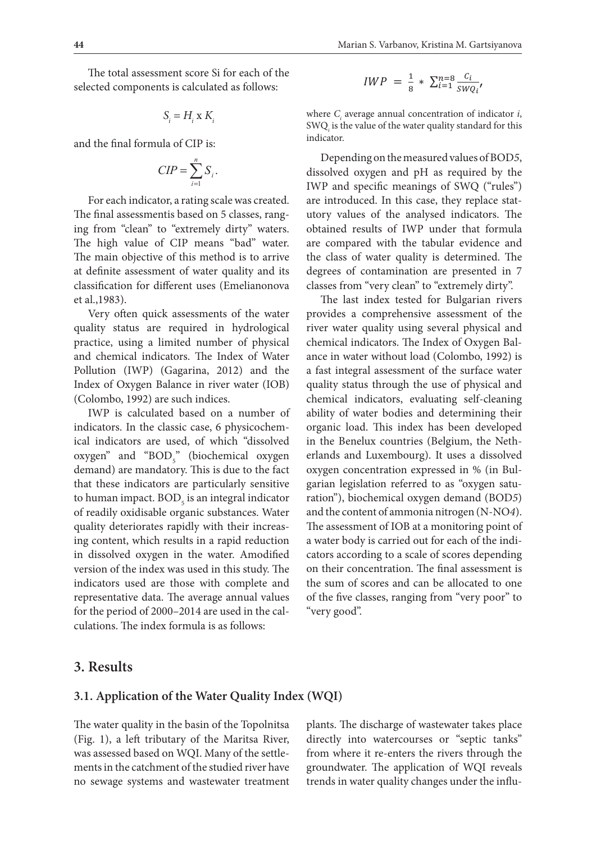The total assessment score Si for each of the selected components is calculated assessment score Si for each of the selected components is calculated as  $I^{IL}$ selected components is calculated as follows:

as follows: the following the following the following term of the following term of the following term of the f

$$
S_i = H_i \times K_i
$$

and the final formula of CIP is: and the final formula of CIP is:

$$
CIP = \sum_{i=1}^{n} S_i.
$$

For each indicator, a rating scale was created. The introduced. In the ing from "clean" to "extremely dirty" waters. The higher of CIP means ing from "clean" to "extremely dirty" waters. The high value of CIP means "bad" water. are compared with and its control of the interior is to affice as a definite assessment of water quality and its classification for different uses (Emelianonova classes from "very cl The final assessmentis based on 5 classes, rang-The main objective of this method is to arrive et al.,1983).

provides a limit and chemical very often quick assessments of the water **provides** a comprehensively quality status are required in hydrological river water quality practice, using a limited number of physical and chemical indicators. The Index of Water Pollution (IWP) (Gagarina, 2012) and the Index of Oxygen Balance in river water (IOB) (Colombo, 1992) are such indices.

> IWP is calculated based on a number of indicators. In the classic case, 6 physicochemical indicators are used, of which "dissolved  $oxygen$ " and " $BOD<sub>5</sub>$ " (biochemical oxygen demand) are mandatory. This is due to the fact that these indicators are particularly sensitive to human impact.  $BOD_5$  is an integral indicator ration"), bi of readily oxidisable organic substances. Water quality deteriorates rapidly with their increasing content, which results in a rapid reduction **3. Results**  in dissolved oxygen in the water. Amodified version of the index was used in this study. The indicators used are those with complete and representative data. The average annual values for the period of 2000–2014 are used in the calculations. The index formula is as follows:

$$
IWP = \frac{1}{8} * \sum_{i=1}^{n=8} \frac{c_i}{s w_{i'}}
$$

 $SWQ_i$  is the value of the water quality standard for this indicator. where *C<sub>i</sub>* average annual concentration of indicator *i*, indicator.

public 1. is.<br>
Depending on the measured values of BOD5, dissolved oxygen and pH as required by the  $I^{1}$  IWP and specific meanings of SWQ ("rules") d on 5 classes, rang- utory values of the analysed indicators. The emely dirty" waters. obtained results of IWP under that formula method is to arrive the class of water quality is determined. The  $I$ uality and its degrees of contamination are presented in 7 are introduced. In this case, they replace statare compared with the tabular evidence and classes from "very clean" to "extremely dirty".

The last index tested for Bulgarian rivers. sments of the water provides a comprehensive assessment of the number of physical chemical indicators. The Index of Oxygen Bal-The Index of Water ance in water without load (Colombo, 1992) is developed in the Benedux contribution of the Surface which is used in the Netherlands and Luxembourg). It uses a quality status through the use of physical and dissolved oxygen concentration expressed in % (in Bulgarian legislation referred to as chemical indicators, evaluating self-cleaning ase, 6 physicochem-<br>ase, 6 physicochem-<br>organic load. This index has been developed of which "dissolved in the Benelux countries (Belgium, the Neth $f_1 \cdot f_2 \cdot f_3 = \frac{f_1}{f_2}$  of the indicators and Luxembourg). It uses a dissolved particularly sensitive garian legislation referred to as "oxygen satu-**3.1. Application of the Water of the Water of the final assessment is also that is also the final assessment is** river water quality using several physical and a fast integral assessment of the surface water ability of water bodies and determining their erlands and Luxembourg). It uses a dissolved oxygen concentration expressed in % (in Bulration"), biochemical oxygen demand (BOD*5*) and the content of ammonia nitrogen (N-NO*4*). The assessment of IOB at a monitoring point of a water body is carried out for each of the indicators according to a scale of scores depending the sum of scores and can be allocated to one of the five classes, ranging from "very poor" to "very good".

### **3. Results**

#### **3.1. Application of the Water Quality Index (WQI)**

The water quality in the basin of the Topolnitsa (Fig. 1), a left tributary of the Maritsa River, was assessed based on WQI. Many of the settlements in the catchment of the studied river have no sewage systems and wastewater treatment

plants. The discharge of wastewater takes place directly into watercourses or "septic tanks" from where it re-enters the rivers through the groundwater. The application of WQI reveals trends in water quality changes under the influ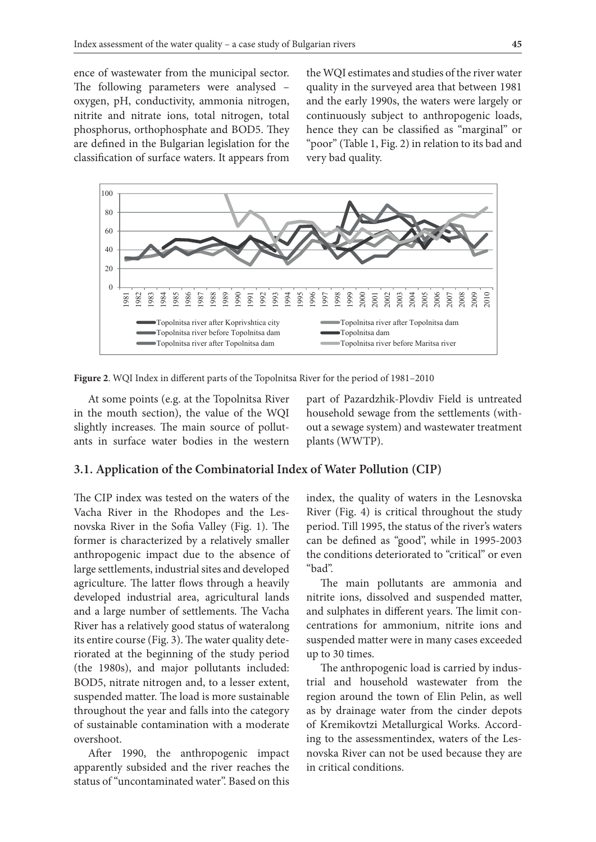ence of wastewater from the municipal sector. The following parameters were analysed – quality in the surveyed area that between oxygen, pH, conductivity, ammonia nitrogen, nitrite and nitrate ions, total nitrogen, total phosphorus, orthophosphate and BOD5. They are defined in the Bulgarian legislation for the classification of surface waters. It appears from very bad quality. under the influence of wastewater from the municipal sector. The following parameters were

the WQI estimates and studies of the river water quality in the surveyed area that between 1981 en, pH, conductivity, ammonia nitrogen, and the early 1990s, the waters were largely or e and nitrate ions, total nitrogen, total continuously subject to anthropogenic loads, phorus, orthophosphate and BOD5. They hence they can be classified as "marginal" or "poor" (Table 1, Fig. 2) in relation to its bad and very bad quality.



**Figure 2.** WQI Index in different parts of the Topolnitsa River for the period of 1981–2010 **Figure 2**. WQI Index in different parts of the Topolnitsa River for the period of 1981–2010

 $\mathbf{F}$ At some points (e.g. at the Topolnitsa River in the mouth section), the value of the WQI slightly increases. The main source of pollutants in surface water bodies in the western

th section), the value of the WQI household sewage from the settlements (withly increases. The main source of pollut- out a sewage system) and wastewater treatment part of Pazardzhik-Plovdiv Field is untreated plants (WWTP).

#### 3.1. Application of the Combinatorial Index of Water Pollution (CIP)

**3.2. Application of the Combinatorial Index of Water Pollution 2. Combinatorial Index of Water Pollution 2. Application Vacha River in the Rhodopes and the Les-** River (Fig. 4) is critical former is characterized by a relatively smaller — can be defined as "good", while in 1995anthropogenic impact due to the absence of large settlements deteriorated to "critical" or The CIP index was tested on the waters of the novska River in the Sofia Valley (Fig. 1). The large settlements, industrial sites and developed agriculture. The latter flows through a heavily developed industrial area, agricultural lands and a large number of settlements. The Vacha River has a relatively good status of wateralong its entire course (Fig. 3). The water quality deteriorated at the beginning of the study period (the 1980s), and major pollutants included: BOD5, nitrate nitrogen and, to a lesser extent, suspended matter. The load is more sustainable throughout the year and falls into the category of sustainable contamination with a moderate overshoot.

After 1990, the anthropogenic impact apparently subsided and the river reaches the status of "uncontaminated water". Based on this

er in the Sofia Valley (Fig. 1). The period. Till 1995, the status of the river's waters index, the quality of waters in the Lesnovska River (Fig. 4) is critical throughout the study can be defined as "good", while in 1995-2003 the conditions deteriorated to "critical" or even "bad".

> The main pollutants are ammonia and nitrite ions, dissolved and suspended matter, and sulphates in different years. The limit concentrations for ammonium, nitrite ions and suspended matter were in many cases exceeded up to 30 times.

> The anthropogenic load is carried by industrial and household wastewater from the region around the town of Elin Pelin, as well as by drainage water from the cinder depots of Kremikovtzi Metallurgical Works. According to the assessmentindex, waters of the Lesnovska River can not be used because they are in critical conditions.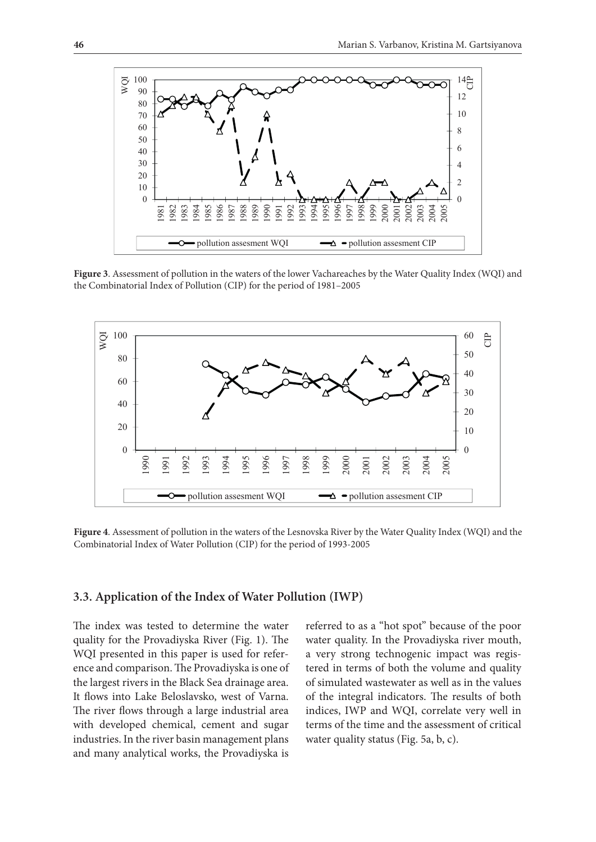

**Figure 3.** Assessment of pollution in the waters of the lower Vachareaches by the Water Quality Index (WQI) and the Combinatorial Index of Pollution (CID) for the period of 1981–2005 the Combinatorial Index of Pollution (CIP) for the period of 1981–2005



**Figure 4.** Assessment of pollution in the waters of the Lesnovska River by the Water Quality **Figure 4**. Assessment of pollution in the waters of the Lesnovska River by the Water Quality Index (WQI) and the<br>Combinatorial Index of Water Pollution (CIP) for the period of 1993-2005  $\overline{a}$ Combinatorial Index of Water Pollution (CIP) for the period of 1993-2005

# 3.3. Application of the Index of Water Pollution (IWP)

quality for the Provadiyska River (Fig. 1). The water quality. In the Prov WQI presented in this paper is used for reference and comparison. The Provadiyska is one of the largest rivers in the Black Sea drainage area. It flows into Lake Beloslavsko, west of Varna. So the inte The river flows through a large industrial area with developed chemical, cement and sugar ment in the river basin management plans water quality status (Fig. 5a, b, c). and many analytical works, the Provadiyska is

The index was tested to determine the water referred to as a "hot spot" because of the poor referred to as a "hot spot" because of the poor water quality. In the Provadiyska river mouth, a very strong technogenic impact was registered in terms of both the volume and quality of simulated wastewater as well as in the values of the integral indicators. The results of both river flows through a large industrial area indices, IWP and WQI, correlate very well in terms of the time and the assessment of critical water quality status (Fig. 5a, b, c).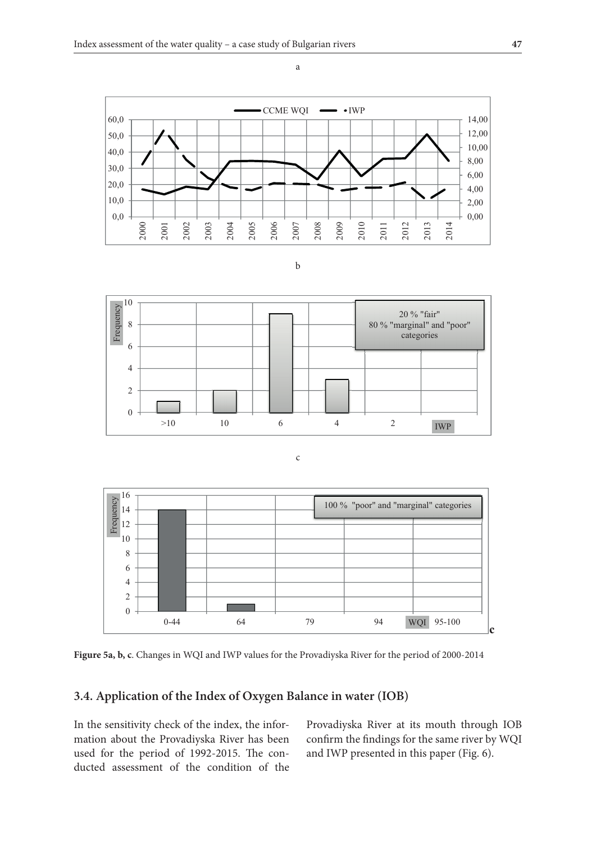



a

**b**  b **b** 



**c c** c **c**



Figure 5a, b, c. Changes in WQI and IWP values for the Provadiyska River for the period of 2000-2014

#### **3.4. Application of the Index of Oxygen Balance in water (IOB)**

In the sensitivity check of the index, the infor-<br>Provadiyska River mation about the Provadiyska River has been used for the period of 1992-2015. The conducted assessment of the condition of the  $\frac{1}{2}$  and two presence in this paper (1 ig. 0). used for the period of 1992-2015. The con-<br>  $\frac{1}{2}$  and IWP presented in this paper (Fig. 6).

Provadiyska River at its mouth through IOB about the Provadiyska River has been confirm the findings for the same river by WQI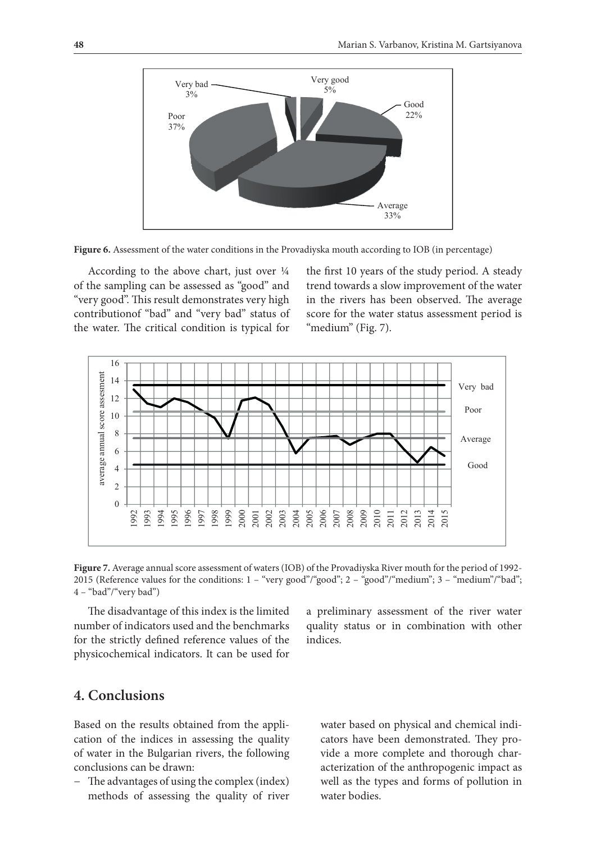

Figure 6. Assessment of the water conditions in the Provadiyska mouth according to IOB (in percentage)

According to the above chart, just over  $\frac{1}{4}$ of the sampling can be assessed as "good" and "very good". This result demonstrates very high the water. The critical condition is typical for "medium" (Fig. 7). According to the above chart, just over  $\frac{1}{4}$  the first 10 years of the study period. A steady

ood". This result demonstrates very high in the rivers has been observed. The average contribution of "bad" and "very bad" status of score for the water status assessment period is of the sampling can be assessed as "good" and trend towards a slow improvement of the water score for the water status assessment period is "medium" (Fig. 7).



Figure 7. Average annual score assessment of waters (IOB) of the Provadiyska River mouth for the period of 1992-2015 (Reference values for the conditions: 1 - "very good"/"good"; 2 - "good"/"medium"; 3 - "medium"/"bad";  $4 -$ "bad"/"very bad")

The disadvantage of this index is the limited a preliminary assessment of the river water number of indicators used and the benchmarks quality status or in combination with other for the strictly defined reference values of the indices. physicochemical indicators. It can be used for number of indicators used and the benchmarks

a preliminary assessment of the river water indices.

# benchmarks for the strictly defined reference values of the physicochemical indicators. It can **4. Conclusions**

Based on the results obtained from the application of the indices in assessing the quality of water in the Bulgarian rivers, the following conclusions can be drawn:

− The advantages of using the complex (index) methods of assessing the quality of river

water based on physical and chemical indicators have been demonstrated. They provide a more complete and thorough characterization of the anthropogenic impact as well as the types and forms of pollution in water bodies.